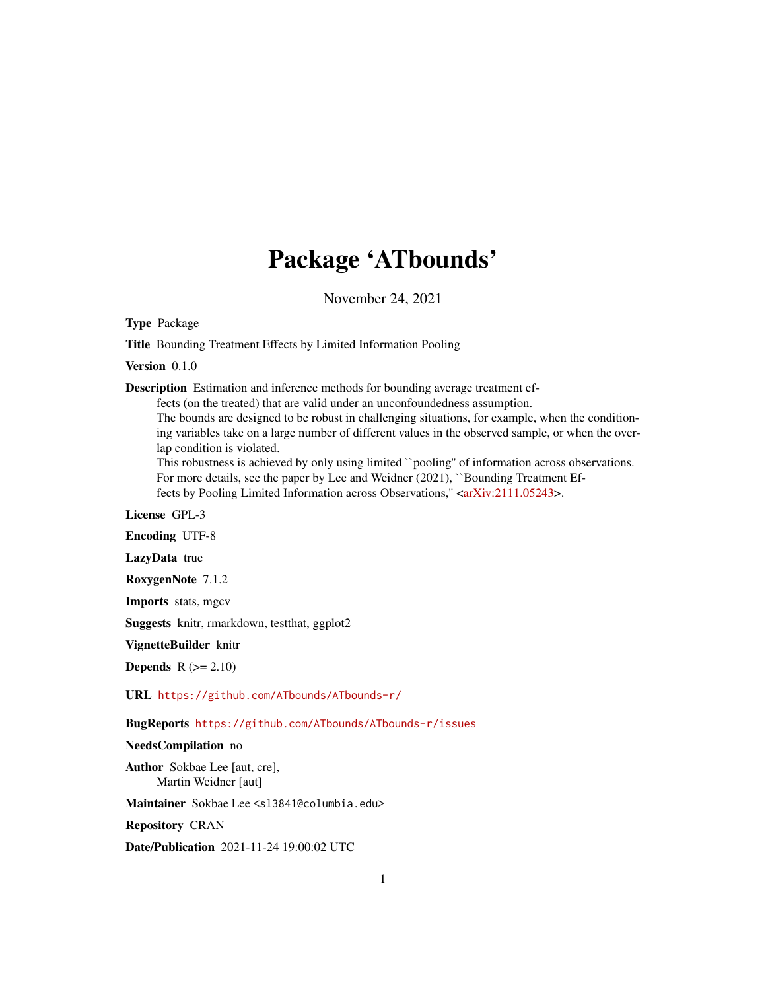# Package 'ATbounds'

November 24, 2021

Type Package

Title Bounding Treatment Effects by Limited Information Pooling

Version 0.1.0

Description Estimation and inference methods for bounding average treatment ef-

fects (on the treated) that are valid under an unconfoundedness assumption.

The bounds are designed to be robust in challenging situations, for example, when the conditioning variables take on a large number of different values in the observed sample, or when the overlap condition is violated.

This robustness is achieved by only using limited ``pooling'' of information across observations. For more details, see the paper by Lee and Weidner (2021), "Bounding Treatment Ef-fects by Pooling Limited Information across Observations," [<arXiv:2111.05243>](https://arxiv.org/abs/2111.05243).

License GPL-3

Encoding UTF-8

LazyData true

RoxygenNote 7.1.2

Imports stats, mgcv

Suggests knitr, rmarkdown, testthat, ggplot2

VignetteBuilder knitr

**Depends**  $R$  ( $>= 2.10$ )

URL <https://github.com/ATbounds/ATbounds-r/>

BugReports <https://github.com/ATbounds/ATbounds-r/issues>

NeedsCompilation no

Author Sokbae Lee [aut, cre], Martin Weidner [aut]

Maintainer Sokbae Lee <sl3841@columbia.edu>

Repository CRAN

Date/Publication 2021-11-24 19:00:02 UTC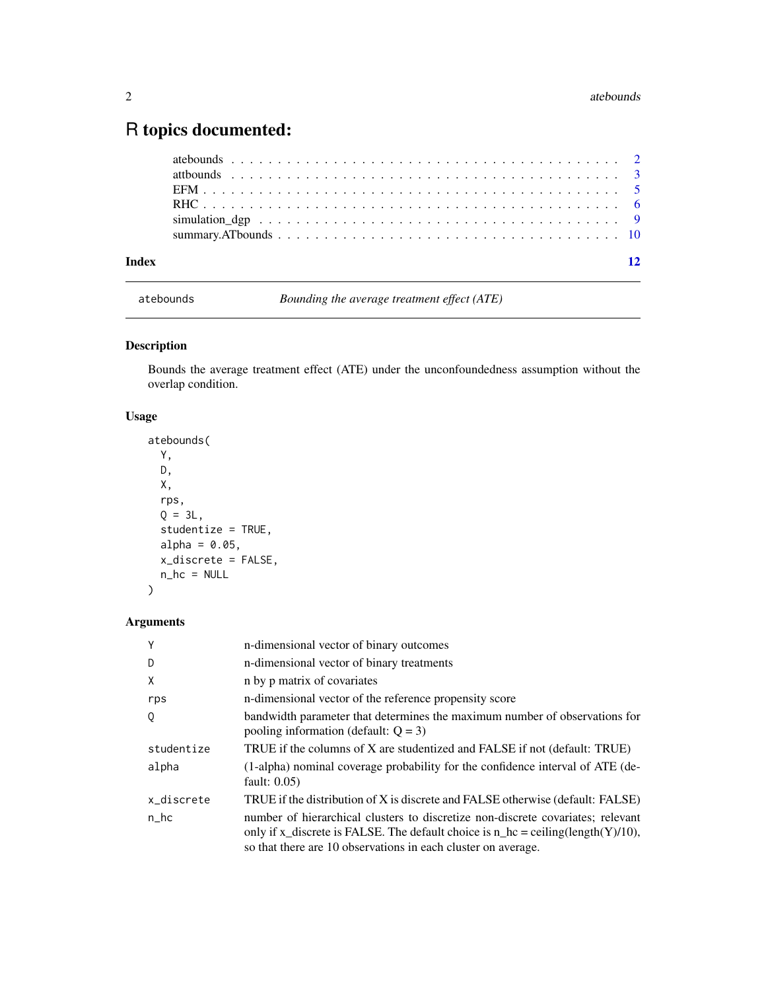## <span id="page-1-0"></span>R topics documented:

| Index | $\overline{12}$ |
|-------|-----------------|
|       |                 |
|       |                 |
|       |                 |
|       |                 |
|       |                 |
|       |                 |

atebounds *Bounding the average treatment effect (ATE)*

#### Description

Bounds the average treatment effect (ATE) under the unconfoundedness assumption without the overlap condition.

#### Usage

```
atebounds(
 Y,
 D,
 X,
 rps,
 Q = 3L,
 studentize = TRUE,
 alpha = 0.05,x_discrete = FALSE,
 n_hc = NULL
)
```
#### Arguments

| Y          | n-dimensional vector of binary outcomes                                                                                                                                                                                               |
|------------|---------------------------------------------------------------------------------------------------------------------------------------------------------------------------------------------------------------------------------------|
| D          | n-dimensional vector of binary treatments                                                                                                                                                                                             |
| X          | n by p matrix of covariates                                                                                                                                                                                                           |
| rps        | n-dimensional vector of the reference propensity score                                                                                                                                                                                |
| Q          | bandwidth parameter that determines the maximum number of observations for<br>pooling information (default: $Q = 3$ )                                                                                                                 |
| studentize | TRUE if the columns of X are studentized and FALSE if not (default: TRUE)                                                                                                                                                             |
| alpha      | (1-alpha) nominal coverage probability for the confidence interval of ATE (de-<br>fault: $0.05$ )                                                                                                                                     |
| x_discrete | TRUE if the distribution of X is discrete and FALSE otherwise (default: FALSE)                                                                                                                                                        |
| $n_h$ c    | number of hierarchical clusters to discretize non-discrete covariates; relevant<br>only if x_discrete is FALSE. The default choice is $n_h =$ ceiling(length(Y)/10),<br>so that there are 10 observations in each cluster on average. |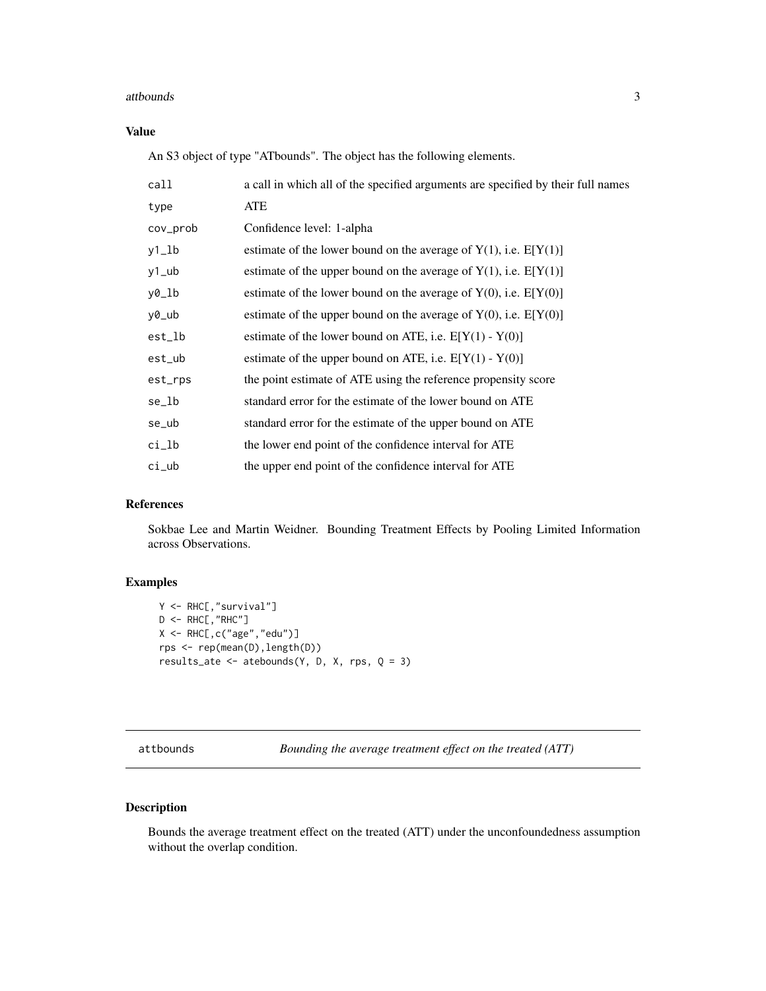#### <span id="page-2-0"></span>attbounds 3

#### Value

An S3 object of type "ATbounds". The object has the following elements.

| call     | a call in which all of the specified arguments are specified by their full names |
|----------|----------------------------------------------------------------------------------|
| type     | ATE                                                                              |
| cov_prob | Confidence level: 1-alpha                                                        |
| y1_lb    | estimate of the lower bound on the average of $Y(1)$ , i.e. $E[Y(1)]$            |
| $y1$ _ub | estimate of the upper bound on the average of $Y(1)$ , i.e. $E[Y(1)]$            |
| y0_lb    | estimate of the lower bound on the average of $Y(0)$ , i.e. $E[Y(0)]$            |
| y0_ub    | estimate of the upper bound on the average of $Y(0)$ , i.e. $E[Y(0)]$            |
| est_lb   | estimate of the lower bound on ATE, i.e. $E[Y(1) - Y(0)]$                        |
| est_ub   | estimate of the upper bound on ATE, i.e. $E[Y(1) - Y(0)]$                        |
| est_rps  | the point estimate of ATE using the reference propensity score                   |
| se_lb    | standard error for the estimate of the lower bound on ATE                        |
| se_ub    | standard error for the estimate of the upper bound on ATE                        |
| $ci_l$   | the lower end point of the confidence interval for ATE                           |
| ci_ub    | the upper end point of the confidence interval for ATE                           |

#### References

Sokbae Lee and Martin Weidner. Bounding Treatment Effects by Pooling Limited Information across Observations.

#### Examples

```
Y <- RHC[,"survival"]
D \leftarrow RHC[, "RHC"]
X \leftarrow \text{RHC}, c("age", "edu")rps <- rep(mean(D),length(D))
results_ate <- atebounds(Y, D, X, rps, Q = 3)
```
attbounds *Bounding the average treatment effect on the treated (ATT)*

#### Description

Bounds the average treatment effect on the treated (ATT) under the unconfoundedness assumption without the overlap condition.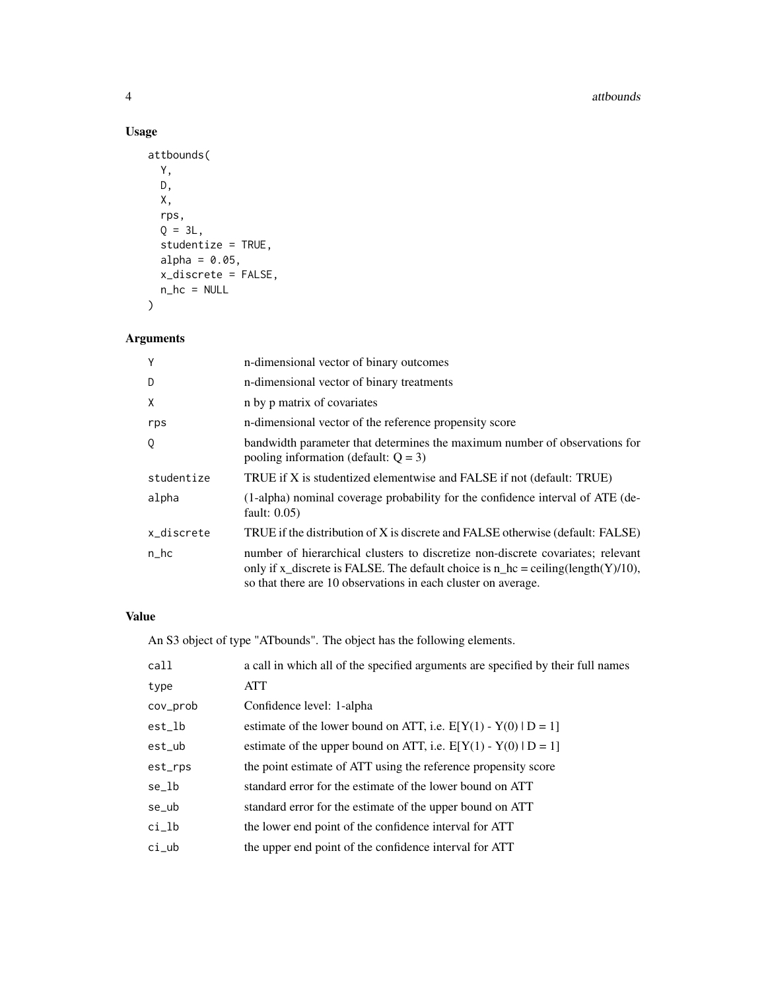#### 4 atthounds and the contract of the contract of the contract of the contract of the contract of the contract of the contract of the contract of the contract of the contract of the contract of the contract of the contract o

### Usage

```
attbounds(
 Y,
 D,
 X,
 rps,
 Q = 3L,studentize = TRUE,
 alpha = 0.05,
 x_discrete = FALSE,
 n_h = NULL\mathcal{L}
```
#### Arguments

| Y          | n-dimensional vector of binary outcomes                                                                                                                                                                                               |
|------------|---------------------------------------------------------------------------------------------------------------------------------------------------------------------------------------------------------------------------------------|
| D          | n-dimensional vector of binary treatments                                                                                                                                                                                             |
| Χ          | n by p matrix of covariates                                                                                                                                                                                                           |
| rps        | n-dimensional vector of the reference propensity score                                                                                                                                                                                |
| Q          | bandwidth parameter that determines the maximum number of observations for<br>pooling information (default: $Q = 3$ )                                                                                                                 |
| studentize | TRUE if X is studentized elementwise and FALSE if not (default: TRUE)                                                                                                                                                                 |
| alpha      | (1-alpha) nominal coverage probability for the confidence interval of ATE (de-<br>fault: $0.05$ )                                                                                                                                     |
| x_discrete | TRUE if the distribution of X is discrete and FALSE otherwise (default: FALSE)                                                                                                                                                        |
| $n_h$ c    | number of hierarchical clusters to discretize non-discrete covariates; relevant<br>only if x_discrete is FALSE. The default choice is $n_h =$ ceiling(length(Y)/10),<br>so that there are 10 observations in each cluster on average. |

#### Value

An S3 object of type "ATbounds". The object has the following elements.

| call     | a call in which all of the specified arguments are specified by their full names |
|----------|----------------------------------------------------------------------------------|
| type     | <b>ATT</b>                                                                       |
| cov_prob | Confidence level: 1-alpha                                                        |
| est_lb   | estimate of the lower bound on ATT, i.e. $E[Y(1) - Y(0)   D = 1]$                |
| est_ub   | estimate of the upper bound on ATT, i.e. $E[Y(1) - Y(0)   D = 1]$                |
| est_rps  | the point estimate of ATT using the reference propensity score                   |
| se_lb    | standard error for the estimate of the lower bound on ATT                        |
| se_ub    | standard error for the estimate of the upper bound on ATT                        |
| $ci_l$   | the lower end point of the confidence interval for ATT                           |
| $ci_$    | the upper end point of the confidence interval for ATT                           |
|          |                                                                                  |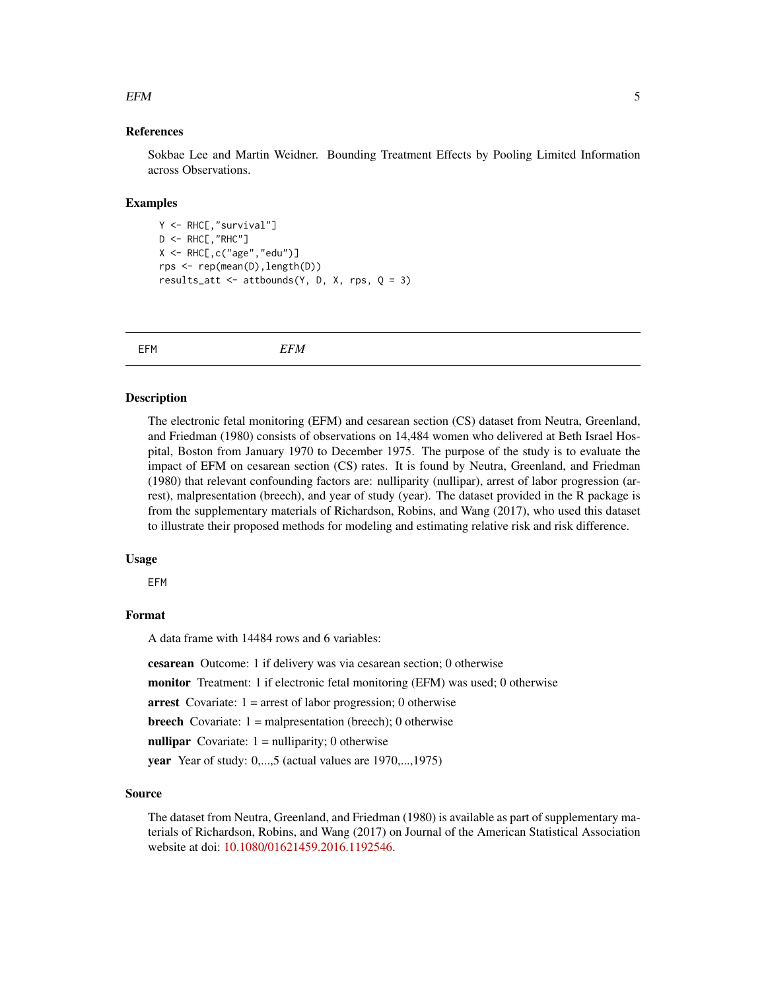#### <span id="page-4-0"></span> $EFM$  5

#### References

Sokbae Lee and Martin Weidner. Bounding Treatment Effects by Pooling Limited Information across Observations.

#### Examples

```
Y <- RHC[,"survival"]
D \leftarrow RHC[, "RHC"]X \leftarrow RHC[, c("age", "edu")rps <- rep(mean(D),length(D))
results_att <- attbounds(Y, D, X, rps, Q = 3)
```
EFM *EFM*

#### Description

The electronic fetal monitoring (EFM) and cesarean section (CS) dataset from Neutra, Greenland, and Friedman (1980) consists of observations on 14,484 women who delivered at Beth Israel Hospital, Boston from January 1970 to December 1975. The purpose of the study is to evaluate the impact of EFM on cesarean section (CS) rates. It is found by Neutra, Greenland, and Friedman (1980) that relevant confounding factors are: nulliparity (nullipar), arrest of labor progression (arrest), malpresentation (breech), and year of study (year). The dataset provided in the R package is from the supplementary materials of Richardson, Robins, and Wang (2017), who used this dataset to illustrate their proposed methods for modeling and estimating relative risk and risk difference.

#### Usage

EFM

#### Format

A data frame with 14484 rows and 6 variables:

cesarean Outcome: 1 if delivery was via cesarean section; 0 otherwise

monitor Treatment: 1 if electronic fetal monitoring (EFM) was used; 0 otherwise

arrest Covariate:  $1 =$ arrest of labor progression; 0 otherwise

**breech** Covariate:  $1 =$  malpresentation (breech); 0 otherwise

nullipar Covariate:  $1 =$  nulliparity; 0 otherwise

year Year of study: 0,...,5 (actual values are 1970,...,1975)

#### Source

The dataset from Neutra, Greenland, and Friedman (1980) is available as part of supplementary materials of Richardson, Robins, and Wang (2017) on Journal of the American Statistical Association website at doi: [10.1080/01621459.2016.1192546.](https://doi.org/10.1080/01621459.2016.1192546)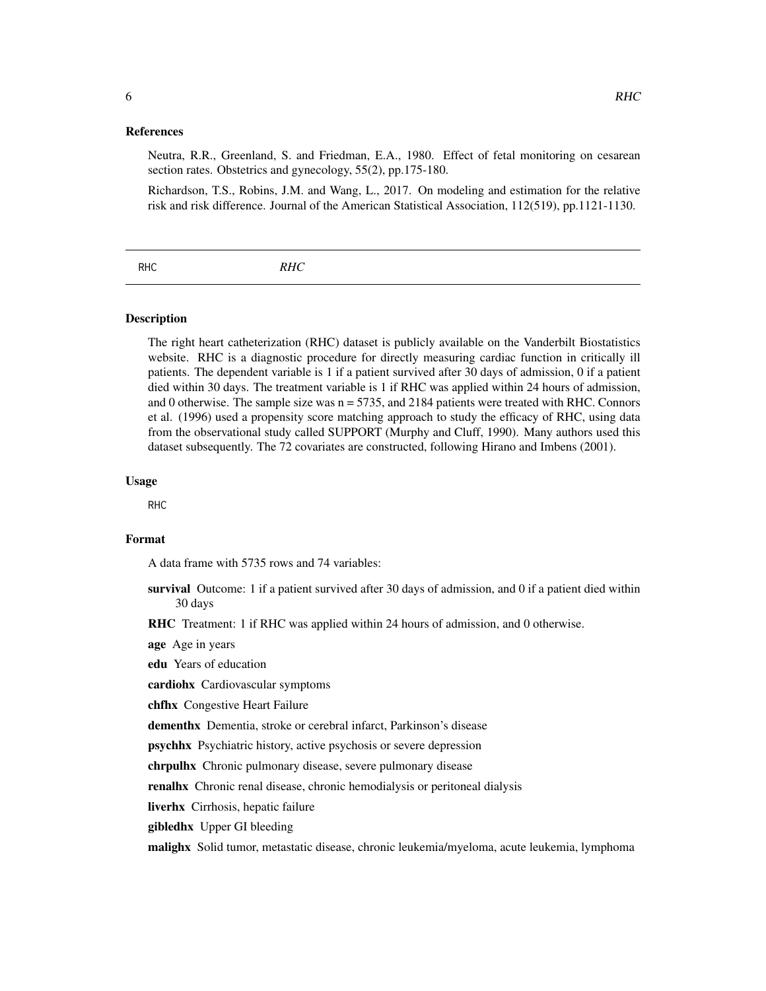#### <span id="page-5-0"></span>References

Neutra, R.R., Greenland, S. and Friedman, E.A., 1980. Effect of fetal monitoring on cesarean section rates. Obstetrics and gynecology, 55(2), pp.175-180.

Richardson, T.S., Robins, J.M. and Wang, L., 2017. On modeling and estimation for the relative risk and risk difference. Journal of the American Statistical Association, 112(519), pp.1121-1130.

| RHC | <b>RHC</b> |
|-----|------------|
|     |            |

#### Description

The right heart catheterization (RHC) dataset is publicly available on the Vanderbilt Biostatistics website. RHC is a diagnostic procedure for directly measuring cardiac function in critically ill patients. The dependent variable is 1 if a patient survived after 30 days of admission, 0 if a patient died within 30 days. The treatment variable is 1 if RHC was applied within 24 hours of admission, and 0 otherwise. The sample size was  $n = 5735$ , and 2184 patients were treated with RHC. Connors et al. (1996) used a propensity score matching approach to study the efficacy of RHC, using data from the observational study called SUPPORT (Murphy and Cluff, 1990). Many authors used this dataset subsequently. The 72 covariates are constructed, following Hirano and Imbens (2001).

#### Usage

RHC

#### Format

A data frame with 5735 rows and 74 variables:

survival Outcome: 1 if a patient survived after 30 days of admission, and 0 if a patient died within 30 days

RHC Treatment: 1 if RHC was applied within 24 hours of admission, and 0 otherwise.

age Age in years

edu Years of education

cardiohx Cardiovascular symptoms

chfhx Congestive Heart Failure

dementhx Dementia, stroke or cerebral infarct, Parkinson's disease

psychhx Psychiatric history, active psychosis or severe depression

chrpulhx Chronic pulmonary disease, severe pulmonary disease

renalhx Chronic renal disease, chronic hemodialysis or peritoneal dialysis

liverhx Cirrhosis, hepatic failure

gibledhx Upper GI bleeding

malighx Solid tumor, metastatic disease, chronic leukemia/myeloma, acute leukemia, lymphoma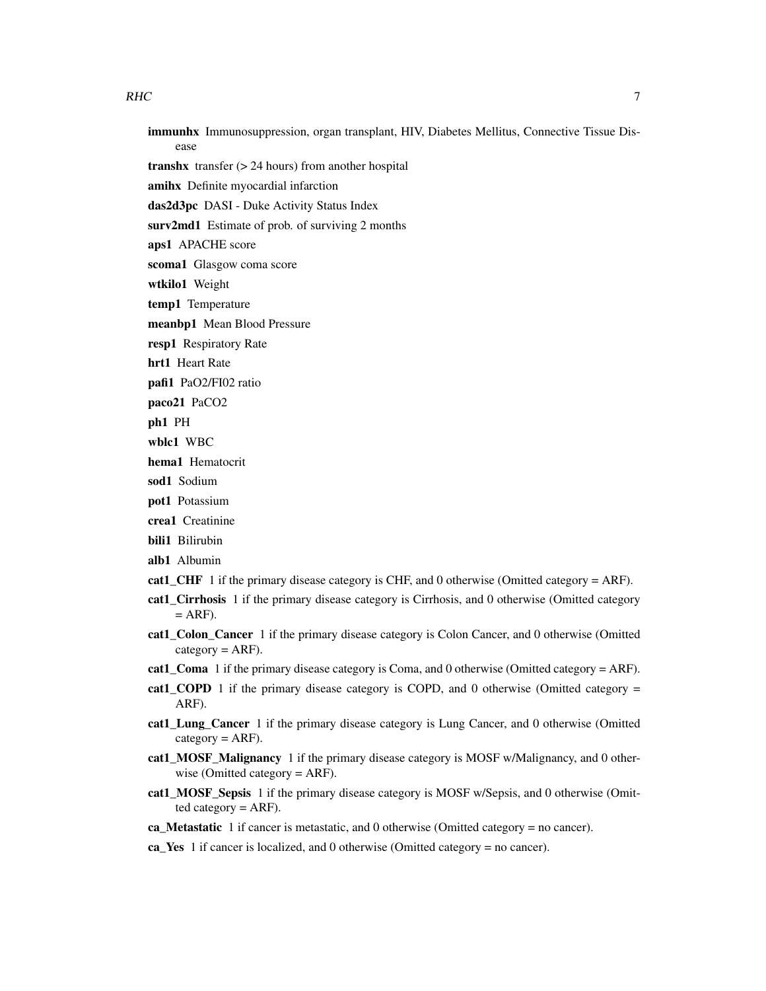- immunhx Immunosuppression, organ transplant, HIV, Diabetes Mellitus, Connective Tissue Disease
- transhx transfer (> 24 hours) from another hospital
- amihx Definite myocardial infarction
- das2d3pc DASI Duke Activity Status Index
- surv2md1 Estimate of prob. of surviving 2 months
- aps1 APACHE score
- scoma1 Glasgow coma score
- wtkilo1 Weight
- temp1 Temperature
- meanbp1 Mean Blood Pressure
- resp1 Respiratory Rate
- hrt1 Heart Rate
- pafi1 PaO2/FI02 ratio
- paco21 PaCO2
- ph1 PH
- wblc1 WBC
- hema1 Hematocrit
- sod1 Sodium
- pot1 Potassium
- crea1 Creatinine
- bili1 Bilirubin
- alb1 Albumin
- cat1\_CHF 1 if the primary disease category is CHF, and 0 otherwise (Omitted category  $=$  ARF).
- cat1\_Cirrhosis 1 if the primary disease category is Cirrhosis, and 0 otherwise (Omitted category  $=$  ARF).
- cat1\_Colon\_Cancer 1 if the primary disease category is Colon Cancer, and 0 otherwise (Omitted  $category = ARP$ ).
- cat1 Coma 1 if the primary disease category is Coma, and 0 otherwise (Omitted category = ARF).
- cat1\_COPD 1 if the primary disease category is COPD, and 0 otherwise (Omitted category  $=$ ARF).
- cat1\_Lung\_Cancer 1 if the primary disease category is Lung Cancer, and 0 otherwise (Omitted  $category = ARP$ ).
- cat1\_MOSF\_Malignancy 1 if the primary disease category is MOSF w/Malignancy, and 0 otherwise (Omitted category = ARF).
- cat1 MOSF Sepsis 1 if the primary disease category is MOSF w/Sepsis, and 0 otherwise (Omitted category  $=$  ARF).
- ca\_Metastatic 1 if cancer is metastatic, and 0 otherwise (Omitted category = no cancer).
- ca\_Yes 1 if cancer is localized, and 0 otherwise (Omitted category = no cancer).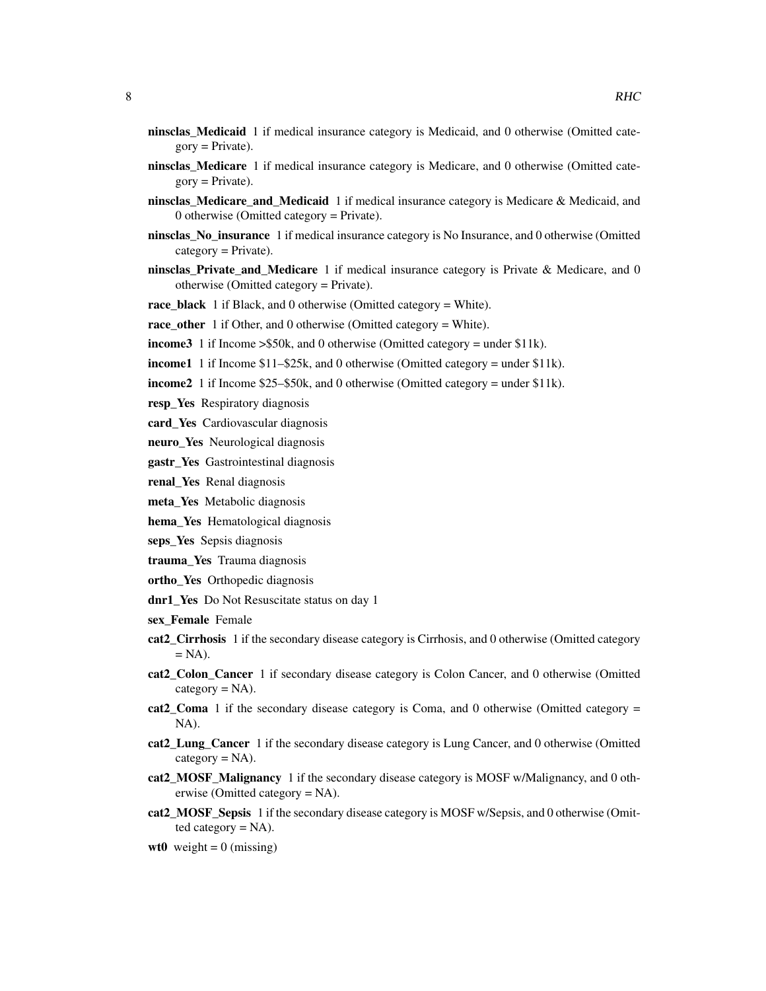- ninsclas\_Medicaid 1 if medical insurance category is Medicaid, and 0 otherwise (Omitted cate $gory = Private$ ).
- ninsclas\_Medicare 1 if medical insurance category is Medicare, and 0 otherwise (Omitted cate $gorv = Private$ ).
- ninsclas\_Medicare\_and\_Medicaid 1 if medical insurance category is Medicare & Medicaid, and 0 otherwise (Omitted category = Private).
- ninsclas No insurance 1 if medical insurance category is No Insurance, and 0 otherwise (Omitted  $category = Private$ ).
- ninsclas Private and Medicare 1 if medical insurance category is Private & Medicare, and 0 otherwise (Omitted category = Private).
- race black 1 if Black, and 0 otherwise (Omitted category = White).
- race\_other 1 if Other, and 0 otherwise (Omitted category = White).
- income3 1 if Income > \$50k, and 0 otherwise (Omitted category = under \$11k).
- income1 1 if Income \$11–\$25k, and 0 otherwise (Omitted category = under \$11k).
- income2 1 if Income \$25–\$50k, and 0 otherwise (Omitted category = under \$11k).
- resp Yes Respiratory diagnosis
- card Yes Cardiovascular diagnosis
- neuro Yes Neurological diagnosis
- gastr Yes Gastrointestinal diagnosis
- renal\_Yes Renal diagnosis
- meta\_Yes Metabolic diagnosis
- hema\_Yes Hematological diagnosis
- seps\_Yes Sepsis diagnosis
- trauma\_Yes Trauma diagnosis
- ortho\_Yes Orthopedic diagnosis
- dnr1\_Yes Do Not Resuscitate status on day 1
- sex\_Female Female
- cat2\_Cirrhosis 1 if the secondary disease category is Cirrhosis, and 0 otherwise (Omitted category  $= NA$ ).
- cat2\_Colon\_Cancer 1 if secondary disease category is Colon Cancer, and 0 otherwise (Omitted  $category = NA$ ).
- cat2\_Coma 1 if the secondary disease category is Coma, and 0 otherwise (Omitted category  $=$ NA).
- cat2\_Lung\_Cancer 1 if the secondary disease category is Lung Cancer, and 0 otherwise (Omitted  $category = NA$ ).
- cat2\_MOSF\_Malignancy 1 if the secondary disease category is MOSF w/Malignancy, and 0 otherwise (Omitted category = NA).
- cat2\_MOSF\_Sepsis 1 if the secondary disease category is MOSF w/Sepsis, and 0 otherwise (Omitted category  $= NA$ ).

wt0 weight =  $0$  (missing)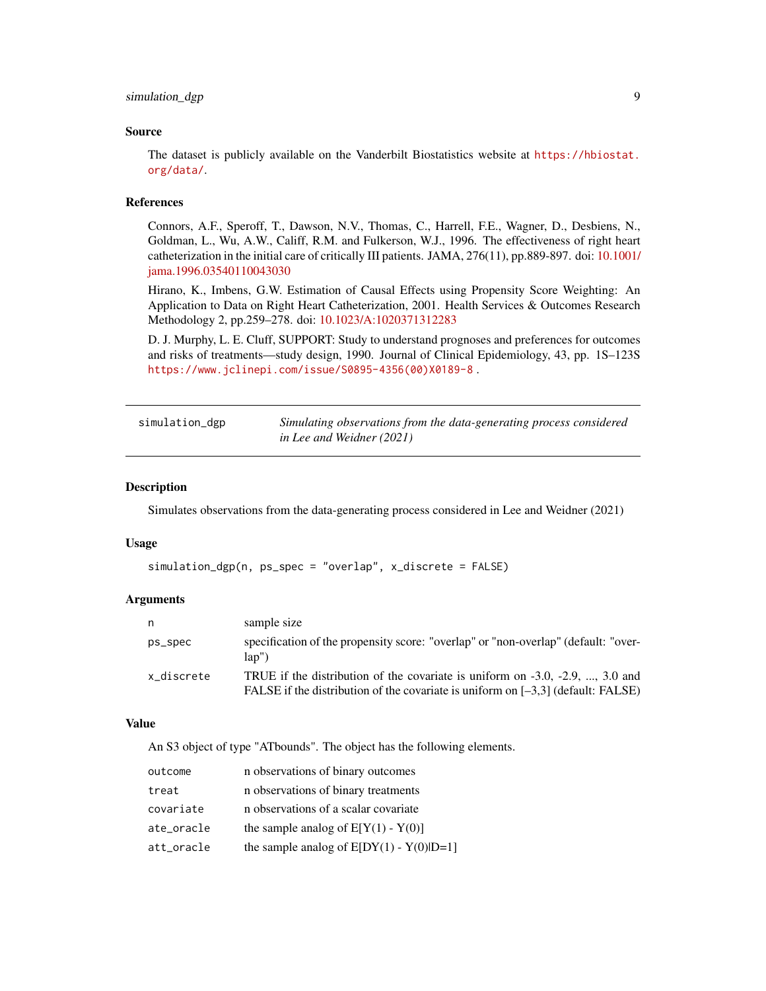#### <span id="page-8-0"></span>Source

The dataset is publicly available on the Vanderbilt Biostatistics website at [https://hbiostat.](https://hbiostat.org/data/) [org/data/](https://hbiostat.org/data/).

#### References

Connors, A.F., Speroff, T., Dawson, N.V., Thomas, C., Harrell, F.E., Wagner, D., Desbiens, N., Goldman, L., Wu, A.W., Califf, R.M. and Fulkerson, W.J., 1996. The effectiveness of right heart catheterization in the initial care of critically III patients. JAMA, 276(11), pp.889-897. doi: [10.1001/](https://doi.org/10.1001/jama.1996.03540110043030) [jama.1996.03540110043030](https://doi.org/10.1001/jama.1996.03540110043030)

Hirano, K., Imbens, G.W. Estimation of Causal Effects using Propensity Score Weighting: An Application to Data on Right Heart Catheterization, 2001. Health Services & Outcomes Research Methodology 2, pp.259–278. doi: [10.1023/A:1020371312283](https://doi.org/10.1023/A:1020371312283)

D. J. Murphy, L. E. Cluff, SUPPORT: Study to understand prognoses and preferences for outcomes and risks of treatments—study design, 1990. Journal of Clinical Epidemiology, 43, pp. 1S–123S [https://www.jclinepi.com/issue/S0895-4356\(00\)X0189-8](https://www.jclinepi.com/issue/S0895-4356(00)X0189-8) .

| simulation_dgp | Simulating observations from the data-generating process considered |
|----------------|---------------------------------------------------------------------|
|                | in Lee and Weidner (2021)                                           |

#### Description

Simulates observations from the data-generating process considered in Lee and Weidner (2021)

#### Usage

```
simulation_dgp(n, ps_spec = "overlap", x_discrete = FALSE)
```
#### Arguments

| n          | sample size                                                                                                                                                                 |
|------------|-----------------------------------------------------------------------------------------------------------------------------------------------------------------------------|
| ps_spec    | specification of the propensity score: "overlap" or "non-overlap" (default: "over-<br>$\text{lab}^{\prime\prime}$                                                           |
| x discrete | TRUE if the distribution of the covariate is uniform on $-3.0, -2.9, \ldots, 3.0$ and<br>FALSE if the distribution of the covariate is uniform on $[-3,3]$ (default: FALSE) |

#### Value

An S3 object of type "ATbounds". The object has the following elements.

| outcome    | n observations of binary outcomes          |
|------------|--------------------------------------------|
| treat      | n observations of binary treatments        |
| covariate  | n observations of a scalar covariate       |
| ate_oracle | the sample analog of $E[Y(1) - Y(0)]$      |
| att_oracle | the sample analog of $E[DY(1) - Y(0) D=1]$ |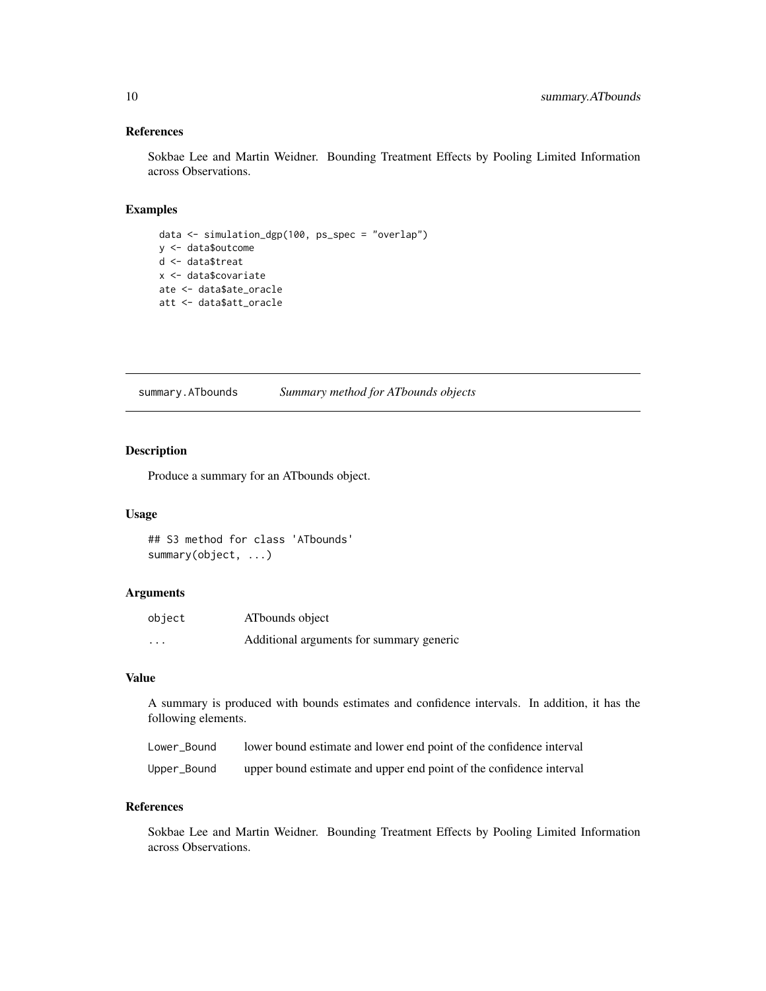#### <span id="page-9-0"></span>References

Sokbae Lee and Martin Weidner. Bounding Treatment Effects by Pooling Limited Information across Observations.

#### Examples

```
data <- simulation_dgp(100, ps_spec = "overlap")
y <- data$outcome
d <- data$treat
x <- data$covariate
ate <- data$ate_oracle
att <- data$att_oracle
```
summary.ATbounds *Summary method for ATbounds objects*

#### Description

Produce a summary for an ATbounds object.

#### Usage

## S3 method for class 'ATbounds' summary(object, ...)

#### Arguments

| object  | ATbounds object                          |
|---------|------------------------------------------|
| $\cdot$ | Additional arguments for summary generic |

#### Value

A summary is produced with bounds estimates and confidence intervals. In addition, it has the following elements.

| Lower Bound | lower bound estimate and lower end point of the confidence interval |
|-------------|---------------------------------------------------------------------|
| Upper_Bound | upper bound estimate and upper end point of the confidence interval |

#### References

Sokbae Lee and Martin Weidner. Bounding Treatment Effects by Pooling Limited Information across Observations.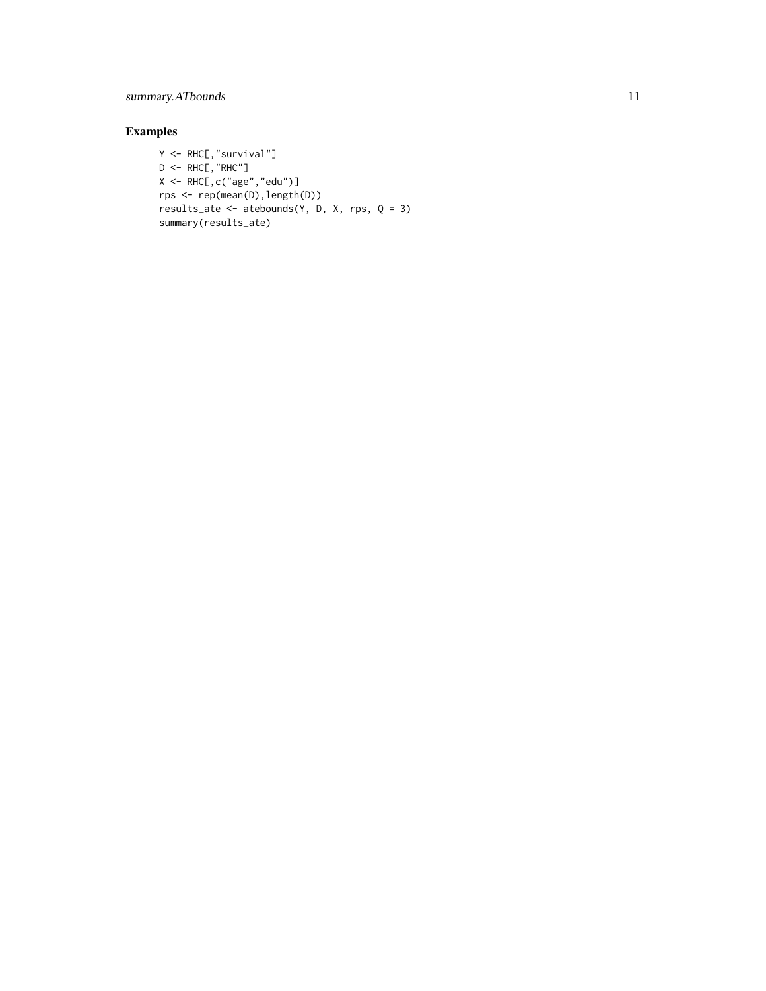#### summary.ATbounds 11

#### Examples

```
Y <- RHC[,"survival"]
D \leq -RHC, "RHC"]
X \leftarrow \text{RHC}, c("age", "edu")]
rps <- rep(mean(D),length(D))
results_ate <- atebounds(Y, D, X, rps, Q = 3)
summary(results_ate)
```